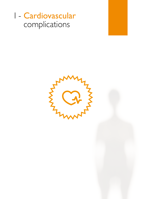# I - Cardiovascular complications

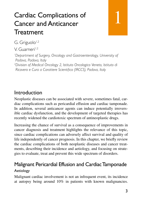# Cardiac Complications of Cancer and Anticancer Treatment

1

G. Griguolo<sup>1,2</sup>

V. Guarneri<sup>1,2</sup>

*1 Department of Surgery, Oncology and Gastroenterology, University of Padova, Padova, Italy*

*2 Division of Medical Oncology 2, Istituto Oncologico Veneto, Istituto di Ricovero e Cura a Carattere Scientifico (IRCCS), Padova, Italy*

## Introduction

Neoplastic diseases can be associated with severe, sometimes fatal, cardiac complications such as pericardial effusion and cardiac tamponade. In addition, several anticancer agents can induce potentially irreversible cardiac dysfunction, and the development of targeted therapies has recently widened the cardiotoxic spectrum of antineoplastic drugs.

Increasing the chance of survival as a consequence of improvements in cancer diagnosis and treatment highlights the relevance of this topic, since cardiac complications can adversely affect survival and quality of life independently of cancer prognosis. In this chapter, we briefly review the cardiac complications of both neoplastic diseases and cancer treatments, describing their incidence and aetiology, and focusing on strategies to evaluate, treat and prevent this wide spectrum of disorders.

### Malignant Pericardial Effusion and Cardiac Tamponade **Aetiology**

Malignant cardiac involvement is not an infrequent event, its incidence at autopsy being around 10% in patients with known malignancies.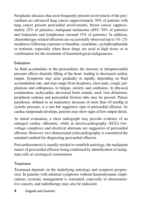Neoplastic diseases that most frequently present involvement of the pericardium are advanced lung cancer (approximately 30% of patients with lung cancer present pericardial involvement), breast cancer (approximately 25% of patients), malignant melanoma (40%–70% of patients) and leukaemia and lymphomas (around 15% of patients). In addition, chemotherapy-related effusions are occasionally observed (up to 1%–2% incidence) following exposure to busulfan, cytarabine, cyclophosphamide or tretinoin, especially when these drugs are used at high doses or in combination for the treatment of haematological malignancies.

### Evaluation

As fluid accumulates in the pericardium, the increase in intrapericardial pressure affects diastolic filling of the heart, leading to decreased cardiac output. Symptoms may arise gradually or rapidly, depending on fluid accumulation rate, and may range from dyspnoea, chest pain, cough, palpitations and orthopnoea, to fatigue, anxiety and confusion. At physical examination, tachycardia, decreased heart sounds, neck vein distension, peripheral oedema and pericardial friction rubs may be present. Pulsus paradoxus, defined as an inspiratory decrease of more than 10 mmHg in systolic pressure, is a rare but suggestive sign of pericardial effusion. As cardiac tamponade develops, patients may show signs of low-output shock.

At initial evaluation, a chest radiograph may provide evidence of an enlarged cardiac silhouette, while at electrocardiography (ECG) lowvoltage complexes and electrical alternans are suggestive of pericardial effusion. However, two-dimensional echocardiography is considered the standard method for diagnosing pericardial effusion.

Pericardiocentesis is usually needed to establish aetiology, the malignant nature of pericardial effusion being confirmed by identification of malignant cells at cytological examination.

### **Treatment**

Treatment depends on the underlying aetiology and symptom progression. In patients with minimal symptoms without haemodynamic implications, systemic management is warranted, especially in chemosensitive cancers, and radiotherapy may also be indicated.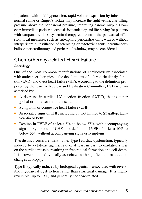In patients with mild hypotension, rapid volume expansion by infusion of normal saline or Ringer's lactate may increase the right ventricular filling pressure above the pericardial pressure, improving cardiac output. However, immediate pericardiocentesis is mandatory and life-saving for patients with tamponade. If no systemic therapy can control the pericardial effusion, local measures, such as subxiphoid pericardiostomy, with or without intrapericardial instillation of sclerosing or cytotoxic agents, percutaneous balloon pericardiotomy and pericardial window, may be considered.

## Chemotherapy-related Heart Failure

### Aetiology

One of the most common manifestations of cardiotoxicity associated with anticancer therapies is the development of left ventricular dysfunction (LVD) and overt heart failure (HF). According to the definition proposed by the Cardiac Review and Evaluation Committee, LVD is characterised by:

- <sup>n</sup> A decrease in cardiac LV ejection fraction (LVEF), that is either global or more severe in the septum;
- Symptoms of congestive heart failure (CHF);
- Associated signs of CHF, including but not limited to S3 gallop, tachycardia or both;
- Decline in LVEF of at least  $5\%$  to below  $55\%$  with accompanying signs or symptoms of CHF, or a decline in LVEF of at least 10% to below 55% without accompanying signs or symptoms.

Two distinct forms are identifiable. Type I cardiac dysfunction, typically induced by cytotoxic agents, is due, at least in part, to oxidative stress on the cardiac muscle, resulting in free radical formation and cell death. It is irreversible and typically associated with significant ultrastructural changes at biopsy.

Type II, typically induced by biological agents, is associated with reversible myocardial dysfunction rather than structural damage. It is highly reversible (up to 79%) and generally not dose-related.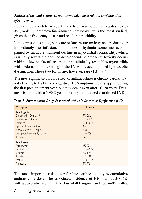### *Anthracyclines and cytotoxics with cumulative dose-related cardiotoxicity: type I agents*

Even if several cytotoxic agents have been associated with cardiac toxicity (Table 1), anthracycline-induced cardiotoxicity is the most studied, given their frequency of use and resulting morbidity.

It may present as acute, subacute or late. Acute toxicity occurs during or immediately after infusion, and includes arrhythmias sometimes accompanied by an acute, transient decline in myocardial contractility, which is usually reversible and not dose-dependent. Subacute toxicity occurs within a few weeks of treatment, and clinically resembles myocarditis with oedema and thickening of the LV walls, accompanied by diastolic dysfunction. These two forms are, however, rare (1%–4%).

The most significant cardiac effect of anthracyclines is chronic cardiac toxicity leading to LVD and congestive HF. Symptoms usually appear during the first post-treatment year, but may occur even after 10–20 years. Prognosis is poor, with a 50% 2-year mortality in untreated established LVD.

| Compound                                                                                                                                                                                                                        | Incidence                                                                                       |
|---------------------------------------------------------------------------------------------------------------------------------------------------------------------------------------------------------------------------------|-------------------------------------------------------------------------------------------------|
| Type I agents<br>Doxorubicin 400 mg/m <sup>2</sup><br>Doxorubicin 550 mg/m <sup>2</sup><br>Epirubicin<br>Liposomal anthracyclines<br>Mitoxantrone $>150$ mg/m <sup>2</sup><br>Cyclophosphamide (high dose)<br><b>Ifosfamide</b> | $7\frac{2}{9}$ -26%<br>18%-48%<br>$0.9\% - 3.3\%$<br>2%<br>2.6%<br>$7\frac{2}{9} - 28\%$<br>17% |
| Type II agents<br>Trastuzumab<br>Lapatinib<br>Sunitinib<br>Bevacizumab<br>Imatinib<br>Trametinib                                                                                                                                | $2\frac{2}{9}$ -27%<br>$1.5% - 2.2%$<br>$2%-11%$<br>$1.7% - 3%$<br>$0.5\% - 1.7\%$<br>$5% - 7%$ |

*Table 1 Antineoplastic Drugs Associated with Left Ventricular Dysfunction (LVD)*

The most important risk factor for late cardiac toxicity is cumulative anthracycline dose. The associated incidence of HF is about  $3\% - 5\%$ with a doxorubicin cumulative dose of 400 mg/m<sup>2</sup>, and  $18\% - 48\%$  with a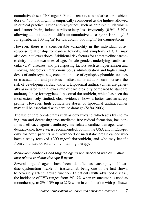cumulative dose of  $700 \text{ mg/m}^2$ . For this reason, a cumulative doxorubicin dose of 450–550 mg/m<sup>2</sup> is empirically considered as the highest allowed in clinical practice. Other anthracyclines, such as epirubicin, idarubicin and daunorubicin, induce cardiotoxicity less frequently (0.9%–3.3%), allowing administration of different cumulative doses (900–1000 mg/m2 for epirubicin, 100 mg/m<sup>2</sup> for idarubicin, 600 mg/m<sup>2</sup> for daunorubicin).

However, there is a considerable variability in the individual dose– response relationship for cardiac toxicity, and symptoms of CHF may also occur at lower doses. Additional risk factors for anthracycline cardiotoxicity include extremes of age, female gender, underlying cardiovascular (CV) diseases, and predisposing factors such as hypertension and smoking. Moreover, intravenous bolus administration and higher single doses of anthracyclines, concomitant use of cyclophosphamide, taxanes or trastuzumab, and previous mediastinal irradiation can increase the risk of developing cardiac toxicity. Liposomal anthracyclines are generally associated with a lower rate of cardiotoxicity compared to standard anthracyclines; for pegylated liposomal doxorubicin, which has been the most extensively studied, clear evidence shows a better cardiac safety profile. However, high cumulative doses of liposomal anthracyclines may still be associated with cardiac damage (Safra 2003).

The use of cardioprotectants such as dexrazoxane, which acts by chelating iron and decreasing iron-mediated free radical formation, has confirmed efficacy against anthracycline-related cardiac damage. Use of dexrazoxane, however, is recommended, both in the USA and in Europe, only for adult patients with advanced or metastatic breast cancer who have already received > 300 mg/m<sup>2</sup> doxorubicin, and who may benefit from continued doxorubicin-containing therapy.

#### *Monoclonal antibodies and targeted agents not associated with cumulative dose-related cardiotoxicity: type II agents*

Several targeted agents have been identified as causing type II cardiac dysfunction (Table 1), trastuzumab being one of the first shown to adversely affect cardiac function. In patients with advanced disease, the incidence of LVD ranges from 2%–7% when trastuzumab is used as monotherapy, to 2%–13% up to 27% when in combination with paclitaxel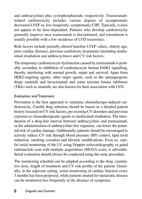and anthracyclines plus cyclophosphamide, respectively. Trastuzumabrelated cardiotoxicity includes various degrees of asymptomatic decreased LVEF or, less frequently, symptomatic CHF. Typically, it does not appear to be dose-dependent. Patients who develop cardiotoxicity generally improve once trastuzumab is discontinued, and retreatment is usually possible with a low incidence of LVD recurrence.

Risk factors include partially altered baseline LVEF values, elderly age, prior cardiac diseases, previous cardiotoxic treatments (including mediastinal irradiation and anthracyclines) and CV risk factors.

The temporary cardiomyocyte dysfunction caused by trastuzumab is probably secondary to inhibition of cardiomyocyte human ErbB2 signalling, thereby interfering with normal growth, repair and survival. Apart from HER2-targeting agents, other target agents, such as the antiangiogenic drugs sunitinib and bevacizumab and some tyrosine kinase inhibitors (TKIs) such as imatinib, are also known for their association with LVD.

#### Evaluation and Treatment

Prevention is the best approach to minimise chemotherapy-induced cardiotoxicity. Careful drug selection should be based on a detailed patient history focused on CV risk factors, pre-existing CV disorders and previous exposure to chemotherapeutic agents or mediastinal irradiation. The introduction of a drug-free interval between anthracyclines and trastuzumab, or the administration of anthracycline-free regimens, can lower the potential risk of cardiac damage. Additionally, patients should be encouraged to actively reduce CV risk through blood pressure (BP) control, lipid level reduction, smoking cessation and lifestyle modifications. Even so, careful serial monitoring of the LV, using Doppler echocardiography or gated radionuclide scan with multiple acquisitions (MUGA scan), is advisable. Serial evaluation should always be conducted using the same procedure.

The monitoring schedule can be adapted according to the drug, cumulative dose, length of treatment and CV risk profile of the patient. Generally, in the adjuvant setting, serial monitoring of cardiac function every 3 months has been proposed, while patients treated for metastatic disease can be monitored less frequently in the absence of symptoms.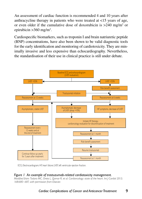An assessment of cardiac function is recommended 4 and 10 years after anthracycline therapy in patients who were treated at <15 years of age, or even older if the cumulative dose of doxorubicin is  $>240$  mg/m<sup>2</sup> or epirubicin  $>360$  mg/m<sup>2</sup>.

Cardiospecific biomarkers, such as troponin I and brain natriuretic peptide (BNP) concentrations, have also been shown to be valid diagnostic tools for the early identification and monitoring of cardiotoxicity. They are minimally invasive and less expensive than echocardiography. Nevertheless, the standardisation of their use in clinical practice is still under debate.



ECG, Electrocardiogram; HF, heart failure; LVEF, left ventricular ejection fraction.

#### *Figure 1 An example of trastuzumab-related cardiotoxicity management.*

*Modified from: Todaro MC, Oreto L, Qamar R, et al. Cardioncology: state of the heart. Int J Cardiol 2013; 168:680–687, with permission from Elsevier.*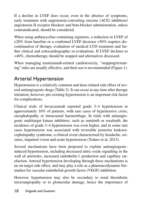If a decline in LVEF does occur, even in the absence of symptoms, early treatment with angiotensin-converting enzyme (ACE) inhibitors/ angiotensin II receptor blockers and beta-blocker administration, unless contraindicated, should be considered.

When using anthracycline-containing regimens, a reduction in LVEF of ≥20% from baseline or a confirmed LVEF decrease <50% requires discontinuation of therapy, evaluation of medical LVD treatment and further clinical and echocardiographic re-evaluations. If LVEF declines to <40%, chemotherapy should be stopped and alternatives discussed.

When managing trastuzumab-related cardiotoxicity, "stopping/restarting" rules are usually effective, and their use is recommended (Figure 1).

# Arterial Hypertension

Hypertension is a relatively common and dose-related side effect of several antiangiogenic drugs (Table 2). It can occur at any time after therapy initiation; however, pre-existing hypertension is an important risk factor for complications.

Clinical trials of bevacizumab reported grade 3–4 hypertension in approximately 10% of patients, with rare cases of hypertensive crisis, encephalopathy or intracranial haemorrhage. In trials with antiangiogenic multitarget kinase inhibitors, such as sunitinib or sorafenib, the incidence of grade 3–4 hypertension was even higher, and in some rare cases hypertension was associated with reversible posterior leukoencephalopathy syndrome, a clinical event characterised by headache, seizures, impaired vision and acute hypertension (Todaro et al, 2013).

Several mechanisms have been proposed to explain antiangiogenicinduced hypertension, including decreased nitric oxide signalling in the wall of arterioles, increased endothelin-1 production and capillary rarefaction. Arterial hypertension developing through these mechanisms is an on-target side effect, and may play a role as a pharmacodynamic biomarker for vascular endothelial growth factor (VEGF) inhibition.

However, hypertension may also be secondary to renal thrombotic microangiopathy or to glomerular damage, hence the importance of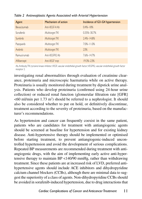| Agent              | Mechanism of action        | Incidence of G3-G4 hypertension |
|--------------------|----------------------------|---------------------------------|
| <b>Bevacizumab</b> | Anti-VFGF-A Ab             | $0.4\% - 18\%$                  |
| Sorafenib          | Multitarget TKI            | 0.35%-30.7%                     |
| Sunitinib          | Multitarget TKI            | $2.4\% - 14.8\%$                |
| Pazopanib          | Multitarget TKI            | 7.0%-11.0%                      |
| Axitinib           | Multitarget TKI            | 23%                             |
| Ramucirumab        | Anti-VFGFR <sub>2</sub> Ab | 7.6%-14.7%                      |
| Aflibercept        | Anti-VEGF trap             | 19.3%-23%                       |

*Table 2 Antineoplastic Agents Associated with Arterial Hypertension*

Ab, Antibody; TKI, tyrosine kinase inhibitor; VEGF, vascular endothelial growth factor; VEGFR2, vascular endothelial growth factor receptor 2.

investigating renal abnormalities through evaluation of creatinine clearance, proteinuria and microscopic haematuria while on active therapy. Proteinuria is usually monitored during treatment by dipstick urine analysis. Patients who develop proteinuria (confirmed using 24-hour urine collection) or reduced renal function (glomerular filtration rate [GFR]  $\leq 60$  ml/min per 1.73 m<sup>2</sup>) should be referred to a nephrologist. It should also be considered whether to put on hold, or definitively discontinue, treatment according to the severity of proteinuria, based on the manufacturer's recommendations.

As hypertension and cancer can frequently coexist in the same patient, patients who are candidates for treatment with antiangiogenic agents should be screened at baseline for hypertension and for existing kidney disease. Anti-hypertensive therapy should be implemented or optimised before starting treatment, to prevent antiangiogenic-induced uncontrolled hypertension and avoid the development of serious complications. Repeated BP measurements are recommended during treatment with antiangiogenic drugs, with the aim of implementing early active anti-hypertensive therapy to maintain BP <140/90 mmHg, rather than withdrawing treatment. Since these patients are at increased risk of LVD, preferred antihypertensive agents should include ACE inhibitors and dihydropyridine calcium channel blockers (CCBs), although there are minimal data to suggest the superiority of a class of agents. Non-dihydropyridine CCBs should be avoided in sorafenib-induced hypertension, due to drug interactions that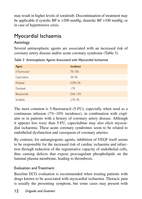may result in higher levels of sorafenib. Discontinuation of treatment may be applicable if systolic BP is >200 mmHg, diastolic BP >100 mmHg, or in case of hypertensive crisis.

# Myocardial Ischaemia

### Aetiology

Several antineoplastic agents are associated with an increased risk of coronary artery disease and/or acute coronary syndrome (Table 3).

*Table 3 Antineoplastic Agents Associated with Myocardial Ischaemia*

| Agent          | Incidence       |
|----------------|-----------------|
| 5-Fluorouracil | $7%-10%$        |
| Capecitabine   | $3% - 9%$       |
| Paclitaxel     | $0.29\% - 5\%$  |
| Docetaxel      | 1.7%            |
| Bevacizumab    | $0.6\% - 1.5\%$ |
| Sorafenib      | $2.7\% - 3\%$   |

The most common is 5-fluorouracil (5-FU), especially when used as a continuous infusion (7%–10% incidence), in combination with cisplatin or in patients with a history of coronary artery disease. Although it appears less toxic than 5-FU, capecitabine may also elicit myocardial ischaemia. These acute coronary syndromes seem to be related to endothelial dysfunction and vasospasm of coronary arteries.

By contrast, for antiangiogenic agents, inhibition of VEGF itself seems to be responsible for the increased risk of cardiac ischaemia and infarction through reduction of the regenerative capacity of endothelial cells, thus causing defects that expose procoagulant phospholipids on the luminal plasma membrane, leading to thrombosis.

### Evaluation and Treatment

Baseline ECG evaluation is recommended when treating patients with drugs known to be associated with myocardial ischaemia. Thoracic pain is usually the presenting symptom, but some cases may present with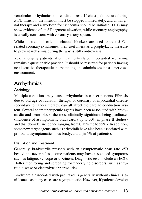ventricular arrhythmias and cardiac arrest. If chest pain occurs during 5-FU infusion, the infusion must be stopped immediately, and antianginal therapy and a work-up for ischaemia should be initiated. ECG may show evidence of an ST-segment elevation, while coronary angiography is usually consistent with coronary artery spasm.

While nitrates and calcium channel blockers are used to treat 5-FUrelated coronary syndromes, their usefulness as a prophylactic measure to prevent ischaemia during therapy is still controversial.

Re-challenging patients after treatment-related myocardial ischaemia remains a questionable practice. It should be reserved for patients having no alternative therapeutic interventions, and administered in a supervised environment.

### Arrhythmias

### Aetiology

Multiple conditions may cause arrhythmias in cancer patients. Fibrosis due to old age or radiation therapy, or coronary or myocardial disease secondary to cancer therapy, can all affect the cardiac conduction system. Several chemotherapeutic agents have been associated with bradycardia and heart block, the most clinically significant being paclitaxel (incidence of asymptomatic bradycardia up to 30% in phase II studies) and thalidomide (incidence ranging from 0.12% up to 55%). In addition, some new target agents such as crizotinib have also been associated with profound asymptomatic sinus bradycardia (in 5% of patients).

### Evaluation and Treatment

Generally, bradycardia presents with an asymptomatic heart rate <50 beats/min; nevertheless, some patients may have associated symptoms such as fatigue, syncope or dizziness. Diagnostic tests include an ECG, Holter monitoring and screening for underlying disorders, such as thyroid disease or electrolyte abnormalities.

Bradycardia associated with paclitaxel is generally without clinical significance, as many cases are asymptomatic. However, if patients develop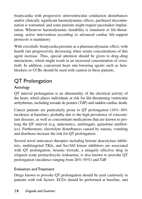bradycardia with progressive atrioventricular conduction disturbances and/or clinically significant haemodynamic effects, paclitaxel discontinuation is warranted, and some patients might require pacemaker implantation. Whenever haemodynamic instability is imminent or life-threatening, active intervention according to advanced cardiac life-support protocols is mandatory.

With crizotinib, bradycardia presents as a pharmacodynamic effect, with hearth rate progressively decreasing when serum concentrations of this agent increase. Thus, special attention should be given to drug–drug interactions, which might result in an increased concentration of crizotinib. In addition, concurrent heart rate-lowering agents such as betablockers or CCBs should be used with caution in these patients.

# QT Prolongation

### Aetiology

QT interval prolongation is an abnormality of the electrical activity of the heart, which places individuals at risk for life-threatening ventricular arrhythmias, including torsade de pointes (TdP) and sudden cardiac death.

Cancer patients are particularly prone to QT prolongation (16%–36% incidence at baseline), probably due to the high prevalence of concomitant diseases, as well as concomitant medications that are known to prolong the QT interval (e.g. antiemetics, antifungals, quinolone antibiotics). Furthermore, electrolyte disturbances caused by nausea, vomiting and diarrhoea increase the risk for QT prolongation.

Several novel anticancer therapies including histone deacetylase inhibitors, multitargeted TKIs, and Src/Abl kinase inhibitors are associated with QT prolongation. Arsenic trioxide, a uniquely effective drug in relapsed acute promyelocytic leukaemia, is also known to provoke QT prolongation (incidence ranging from 26%–93%) and TdP.

### Evaluation and Treatment

Drugs known to provoke QT prolongation should be used cautiously in patients with risk factors. ECGs should be performed at baseline, and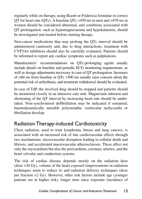regularly while on therapy, using Bazett or Fridericia formulae to correct QT for heart rate (QTc). A baseline QTc >450 ms in men and >470 ms in women should be considered abnormal, and conditions associated with QT prolongation, such as hypomagnesaemia and hypokalaemia, should be investigated and treated before starting therapy.

Non-cancer medications that may prolong the QTc interval should be administered cautiously and, due to drug interactions, treatment with CYP3A4 inhibitors should also be carefully evaluated. Patients should be informed to report any cardiac symptoms such as palpitations.

Manufacturers' recommendations on QTc-prolonging agents usually include details on baseline and periodic ECG monitoring requirements, as well as dosage adjustments necessary in case of QT prolongation. Increases of >60 ms from baseline or QTc >500 ms usually raise concern about the potential risk of arrhythmia, and treatment withdrawal should be evaluated.

In case of TdP, the involved drug should be stopped and patients should be monitored closely in an intensive care unit. Magnesium infusion and shortening of the QT interval by increasing heart rate should be undertaken. Non-synchronised defibrillation may be indicated if sustained, haemodynamically unstable polymorphic ventricular tachycardia or fibrillation develop.

# Radiation Therapy-induced Cardiotoxicity

Chest radiation, used to treat lymphoma, breast and lung cancers, is associated with an increased risk of late cardiovascular effects through two mechanisms: microvascular disruption leading to cellular death and fibrosis, and accelerated macrovascular atherosclerosis. These affect not only the myocardium but also the pericardium, coronary arteries, and the heart valvular and conduction systems.

The risk of cardiac disease depends mostly on the radiation dose (dose >30 Gy), volume of the heart exposed (improvements in radiation techniques seem to reduce it) and radiation delivery techniques (dose per fraction >2 Gy). However, other risk factors include age (younger patients are at higher risk), longer time since exposure (incidence of